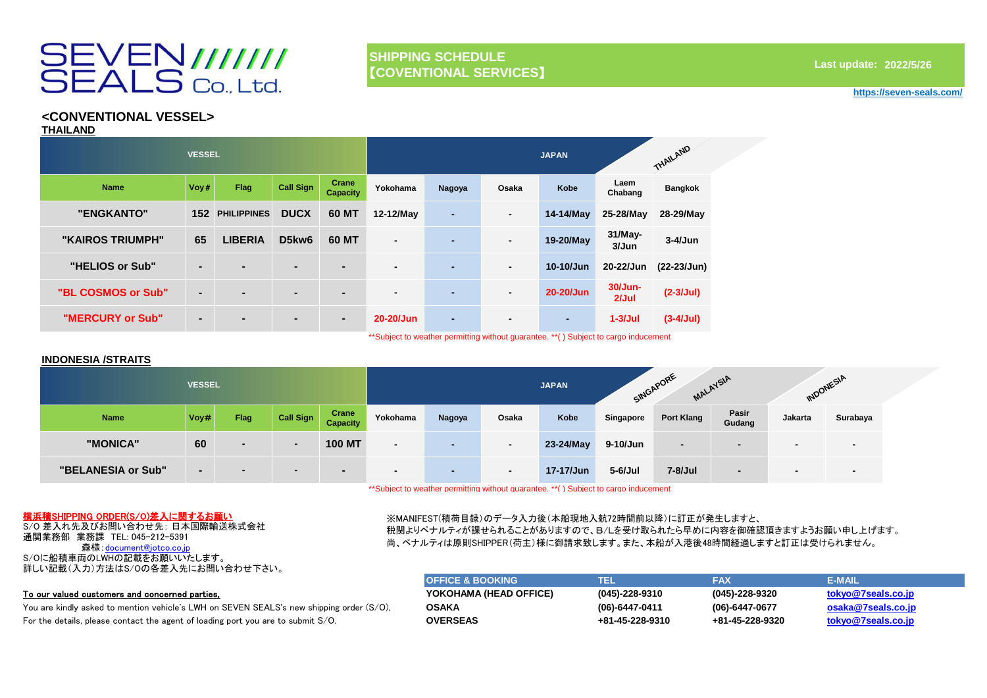# SEVEN///////<br>SEALS Co., Ltd.

# **SHIPPING SCHEDULE** 【**COVENTIONAL SERVICES**】

# **2022/5/26 Last update:**

#### **https://seven-seals.com/**

# **<CONVENTIONAL VESSEL>**

**THAILAND**

|                    | <b>VESSEL</b>  |                    |                  |                          |                |                |                | <b>JAPAN</b>   |                     | THAILAND       |
|--------------------|----------------|--------------------|------------------|--------------------------|----------------|----------------|----------------|----------------|---------------------|----------------|
| <b>Name</b>        | Voy#           | <b>Flag</b>        | <b>Call Sign</b> | Crane<br><b>Capacity</b> | Yokohama       | <b>Nagoya</b>  | Osaka          | <b>Kobe</b>    | Laem<br>Chabang     | <b>Bangkok</b> |
| "ENGKANTO"         | 152            | <b>PHILIPPINES</b> | <b>DUCX</b>      | 60 MT                    | 12-12/May      | $\blacksquare$ | $\blacksquare$ | 14-14/May      | 25-28/May           | 28-29/May      |
| "KAIROS TRIUMPH"   | 65             | <b>LIBERIA</b>     | D5kw6            | 60 MT                    | $\blacksquare$ | $\blacksquare$ | $\blacksquare$ | 19-20/May      | $31$ /May-<br>3/Jun | $3-4/Jun$      |
| "HELIOS or Sub"    | $\blacksquare$ | $\blacksquare$     | $\blacksquare$   | $\blacksquare$           | $\blacksquare$ | $\blacksquare$ | $\blacksquare$ | 10-10/Jun      | 20-22/Jun           | $(22-23/Jun)$  |
| "BL COSMOS or Sub" | $\blacksquare$ | $\blacksquare$     | $\blacksquare$   | $\blacksquare$           | $\blacksquare$ | $\blacksquare$ | $\blacksquare$ | 20-20/Jun      | 30/Jun-<br>2/Jul    | $(2-3/Jul)$    |
| "MERCURY or Sub"   | $\blacksquare$ | $\blacksquare$     | $\blacksquare$   | $\blacksquare$           | 20-20/Jun      | $\blacksquare$ | $\blacksquare$ | $\blacksquare$ | $1-3$ /Jul          | $(3-4/Jul)$    |

\*\*Subject to weather permitting without guarantee. \*\*( ) Subject to cargo inducement

## **INDONESIA /STRAITS**

|                    | <b>VESSEL</b> |                          |                          |                          |                          |                          |                          | <b>JAPAN</b> |            | SINGAPORE      | MALAYSIA                 | INDONESIA |                          |
|--------------------|---------------|--------------------------|--------------------------|--------------------------|--------------------------|--------------------------|--------------------------|--------------|------------|----------------|--------------------------|-----------|--------------------------|
| <b>Name</b>        | Voy#          | Flag                     | Call Sign                | Crane<br><b>Capacity</b> | Yokohama                 | Nagoya                   | Osaka                    | Kobe         | Singapore  | Port Klang     | Pasir<br>Gudang          | Jakarta   | Surabaya                 |
| "MONICA"           | 60            | $\overline{\phantom{a}}$ | $\overline{\phantom{0}}$ | <b>100 MT</b>            | $\overline{\phantom{a}}$ | $\overline{\phantom{a}}$ | $\overline{\phantom{0}}$ | 23-24/May    | 9-10/Jun   | $\blacksquare$ |                          |           | $\overline{\phantom{0}}$ |
| "BELANESIA or Sub" |               | $\blacksquare$           | $\overline{\phantom{a}}$ |                          | $\overline{\phantom{a}}$ | $\overline{\phantom{0}}$ | $\overline{\phantom{0}}$ | 17-17/Jun    | $5-6$ /Jul | 7-8/Jul        | $\overline{\phantom{0}}$ |           | $\overline{\phantom{0}}$ |

\*\*Subject to weather permitting without guarantee. \*\*( ) Subject to cargo inducement

# 横浜積SHIPPING ORDER(S/O)差入に関するお願い

S/O 差入れ先及びお問い合わせ先: 日本国際輸送株式会社 通関業務部 業務課 TEL: 045-212-5391 森様: document@jotco.co.jp S/Oに船積車両のLWHの記載をお願いいたします。 詳しい記載(入力)方法はS/Oの各差入先にお問い合わせ下さい。

## To our valued customers and concerned parties,

You are kindly asked to mention vehicle's LWH on SEVEN SEALS's new shipping order (S/O), For the details, please contact the agent of loading port you are to submit S/O.

# ※MANIFEST(積荷目録)のデータ入力後(本船現地入航72時間前以降)に訂正が発生しますと、

税関よりペナルティが課せられることがありますので、B/Lを受け取られたら早めに内容を御確認頂きますようお願い申し上げます。 尚、ペナルティは原則SHIPPER(荷主)様に御請求致します。また、本船が入港後48時間経過しますと訂正は受けられません。

| <b>OFFICE &amp; BOOKING</b> | ៶∎⊒⊾                 | <b>FAX</b>      | <b>E-MAIL</b>      |
|-----------------------------|----------------------|-----------------|--------------------|
| YOKOHAMA (HEAD OFFICE)      | $(045) - 228 - 9310$ | (045)-228-9320  | tokyo@7seals.co.jp |
| <b>OSAKA</b>                | $(06) - 6447 - 0411$ | (06)-6447-0677  | osaka@7seals.co.jp |
| <b>OVERSEAS</b>             | +81-45-228-9310      | +81-45-228-9320 | tokyo@7seals.co.jp |